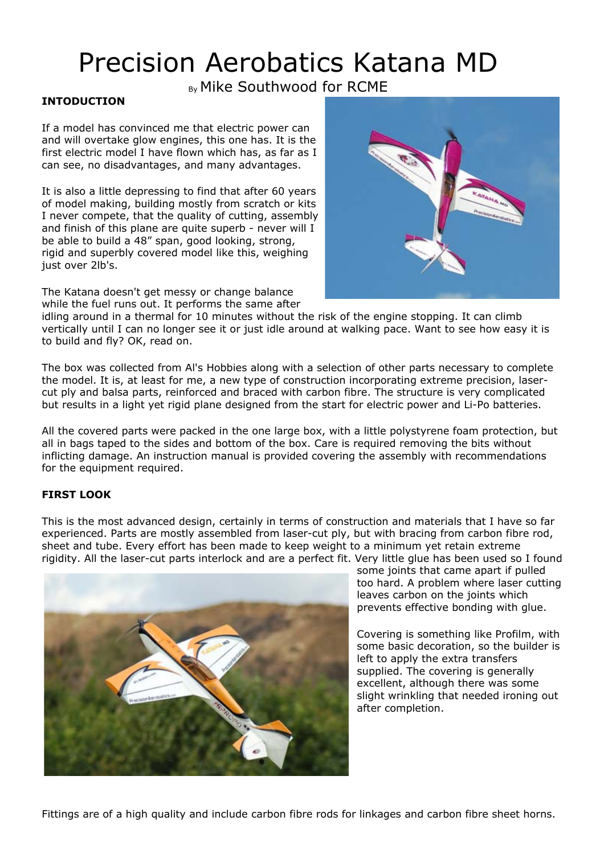# Precision Aerobatics Katana MD

By Mike Southwood for RCME

## **INTODUCTION**

If a model has convinced me that electric power can and will overtake glow engines, this one has. It is the first electric model I have flown which has, as far as I can see, no disadvantages, and many advantages.

It is also a little depressing to find that after 60 years of model making, building mostly from scratch or kits I never compete, that the quality of cutting, assembly and finish of this plane are quite superb - never will I be able to build a 48" span, good looking, strong, rigid and superbly covered model like this, weighing just over 2lb's.

The Katana doesn't get messy or change balance while the fuel runs out. It performs the same after



idling around in a thermal for 10 minutes without the risk of the engine stopping. It can climb vertically until I can no longer see it or just idle around at walking pace. Want to see how easy it is to build and fly? OK, read on.

The box was collected from Al's Hobbies along with a selection of other parts necessary to complete the model. It is, at least for me, a new type of construction incorporating extreme precision, lasercut ply and balsa parts, reinforced and braced with carbon fibre. The structure is very complicated but results in a light yet rigid plane designed from the start for electric power and Li-Po batteries.

All the covered parts were packed in the one large box, with a little polystyrene foam protection, but all in bags taped to the sides and bottom of the box. Care is required removing the bits without inflicting damage. An instruction manual is provided covering the assembly with recommendations for the equipment required.

# **FIRST LOOK**

This is the most advanced design, certainly in terms of construction and materials that I have so far experienced. Parts are mostly assembled from laser-cut ply, but with bracing from carbon fibre rod, sheet and tube. Every effort has been made to keep weight to a minimum yet retain extreme rigidity. All the laser-cut parts interlock and are a perfect fit. Very little glue has been used so I found



some joints that came apart if pulled too hard. A problem where laser cutting leaves carbon on the joints which prevents effective bonding with glue.

Covering is something like Profilm, with some basic decoration, so the builder is left to apply the extra transfers supplied. The covering is generally excellent, although there was some slight wrinkling that needed ironing out after completion.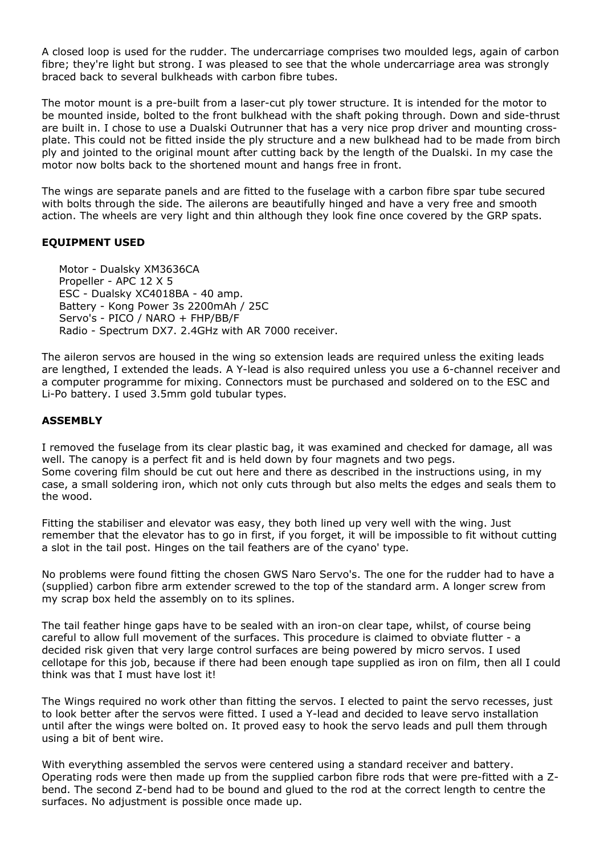A closed loop is used for the rudder. The undercarriage comprises two moulded legs, again of carbon fibre; they're light but strong. I was pleased to see that the whole undercarriage area was strongly braced back to several bulkheads with carbon fibre tubes.

The motor mount is a pre-built from a laser-cut ply tower structure. It is intended for the motor to be mounted inside, bolted to the front bulkhead with the shaft poking through. Down and side-thrust are built in. I chose to use a Dualski Outrunner that has a very nice prop driver and mounting crossplate. This could not be fitted inside the ply structure and a new bulkhead had to be made from birch ply and jointed to the original mount after cutting back by the length of the Dualski. In my case the motor now bolts back to the shortened mount and hangs free in front.

The wings are separate panels and are fitted to the fuselage with a carbon fibre spar tube secured with bolts through the side. The ailerons are beautifully hinged and have a very free and smooth action. The wheels are very light and thin although they look fine once covered by the GRP spats.

### **EQUIPMENT USED**

 Motor - Dualsky XM3636CA Propeller - APC 12 X 5 ESC - Dualsky XC4018BA - 40 amp. Battery - Kong Power 3s 2200mAh / 25C Servo's - PICO / NARO + FHP/BB/F Radio - Spectrum DX7. 2.4GHz with AR 7000 receiver.

The aileron servos are housed in the wing so extension leads are required unless the exiting leads are lengthed, I extended the leads. A Y-lead is also required unless you use a 6-channel receiver and a computer programme for mixing. Connectors must be purchased and soldered on to the ESC and Li-Po battery. I used 3.5mm gold tubular types.

#### **ASSEMBLY**

I removed the fuselage from its clear plastic bag, it was examined and checked for damage, all was well. The canopy is a perfect fit and is held down by four magnets and two pegs. Some covering film should be cut out here and there as described in the instructions using, in my case, a small soldering iron, which not only cuts through but also melts the edges and seals them to the wood.

Fitting the stabiliser and elevator was easy, they both lined up very well with the wing. Just remember that the elevator has to go in first, if you forget, it will be impossible to fit without cutting a slot in the tail post. Hinges on the tail feathers are of the cyano' type.

No problems were found fitting the chosen GWS Naro Servo's. The one for the rudder had to have a (supplied) carbon fibre arm extender screwed to the top of the standard arm. A longer screw from my scrap box held the assembly on to its splines.

The tail feather hinge gaps have to be sealed with an iron-on clear tape, whilst, of course being careful to allow full movement of the surfaces. This procedure is claimed to obviate flutter - a decided risk given that very large control surfaces are being powered by micro servos. I used cellotape for this job, because if there had been enough tape supplied as iron on film, then all I could think was that I must have lost it!

The Wings required no work other than fitting the servos. I elected to paint the servo recesses, just to look better after the servos were fitted. I used a Y-lead and decided to leave servo installation until after the wings were bolted on. It proved easy to hook the servo leads and pull them through using a bit of bent wire.

With everything assembled the servos were centered using a standard receiver and battery. Operating rods were then made up from the supplied carbon fibre rods that were pre-fitted with a Zbend. The second Z-bend had to be bound and glued to the rod at the correct length to centre the surfaces. No adjustment is possible once made up.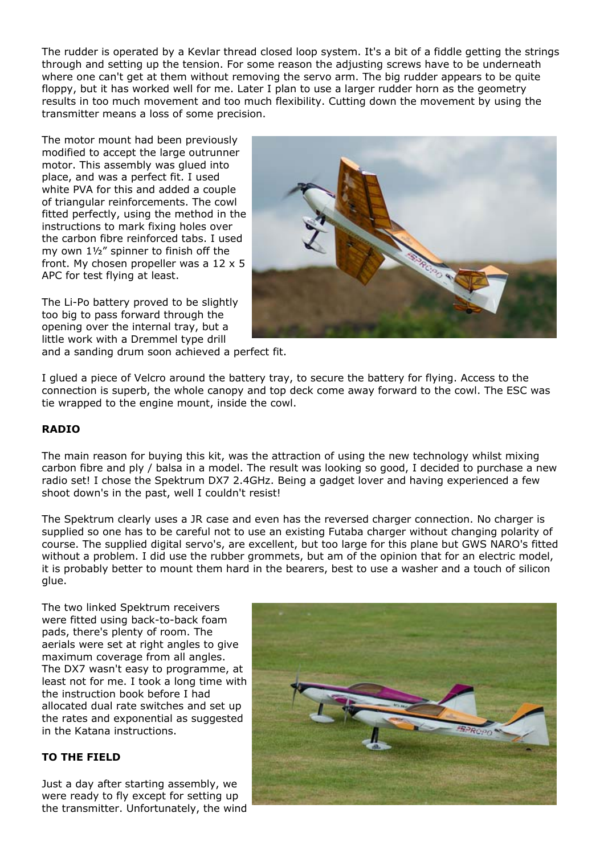The rudder is operated by a Kevlar thread closed loop system. It's a bit of a fiddle getting the strings through and setting up the tension. For some reason the adjusting screws have to be underneath where one can't get at them without removing the servo arm. The big rudder appears to be quite floppy, but it has worked well for me. Later I plan to use a larger rudder horn as the geometry results in too much movement and too much flexibility. Cutting down the movement by using the transmitter means a loss of some precision.

The motor mount had been previously modified to accept the large outrunner motor. This assembly was glued into place, and was a perfect fit. I used white PVA for this and added a couple of triangular reinforcements. The cowl fitted perfectly, using the method in the instructions to mark fixing holes over the carbon fibre reinforced tabs. I used my own 1½" spinner to finish off the front. My chosen propeller was a 12 x 5 APC for test flying at least.

The Li-Po battery proved to be slightly too big to pass forward through the opening over the internal tray, but a little work with a Dremmel type drill



and a sanding drum soon achieved a perfect fit.

I glued a piece of Velcro around the battery tray, to secure the battery for flying. Access to the connection is superb, the whole canopy and top deck come away forward to the cowl. The ESC was tie wrapped to the engine mount, inside the cowl.

## **RADIO**

The main reason for buying this kit, was the attraction of using the new technology whilst mixing carbon fibre and ply / balsa in a model. The result was looking so good, I decided to purchase a new radio set! I chose the Spektrum DX7 2.4GHz. Being a gadget lover and having experienced a few shoot down's in the past, well I couldn't resist!

The Spektrum clearly uses a JR case and even has the reversed charger connection. No charger is supplied so one has to be careful not to use an existing Futaba charger without changing polarity of course. The supplied digital servo's, are excellent, but too large for this plane but GWS NARO's fitted without a problem. I did use the rubber grommets, but am of the opinion that for an electric model, it is probably better to mount them hard in the bearers, best to use a washer and a touch of silicon glue.

The two linked Spektrum receivers were fitted using back-to-back foam pads, there's plenty of room. The aerials were set at right angles to give maximum coverage from all angles. The DX7 wasn't easy to programme, at least not for me. I took a long time with the instruction book before I had allocated dual rate switches and set up the rates and exponential as suggested in the Katana instructions.

#### **TO THE FIELD**

Just a day after starting assembly, we were ready to fly except for setting up the transmitter. Unfortunately, the wind